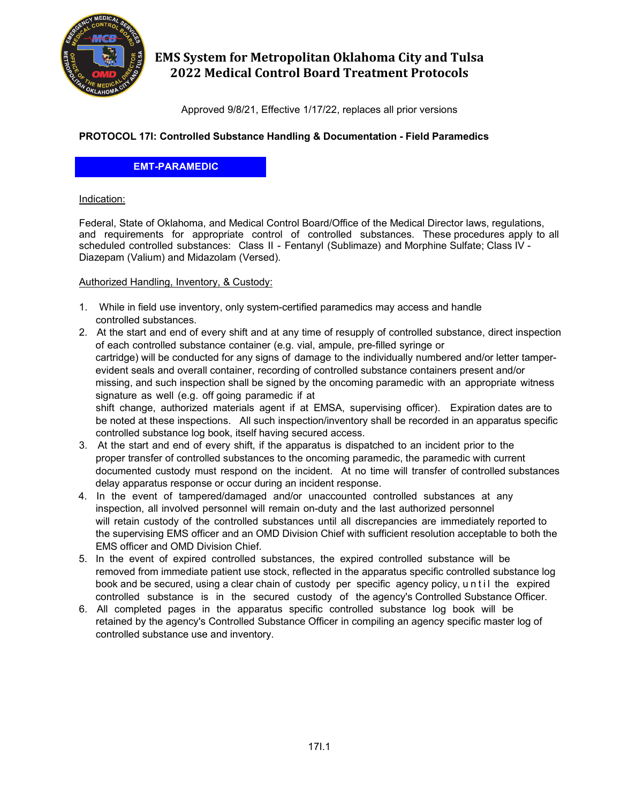

# **EMS System for Metropolitan Oklahoma City and Tulsa 2022 Medical Control Board Treatment Protocols**

Approved 9/8/21, Effective 1/17/22, replaces all prior versions

# **PROTOCOL 17I: Controlled Substance Handling & Documentation - Field Paramedics**

**EMT-PARAMEDIC**

#### Indication:

Federal, State of Oklahoma, and Medical Control Board/Office of the Medical Director laws, regulations, and requirements for appropriate control of controlled substances. These procedures apply to all scheduled controlled substances: Class II - Fentanyl (Sublimaze) and Morphine Sulfate; Class IV - Diazepam (Valium) and Midazolam (Versed).

### Authorized Handling, Inventory, & Custody:

- 1. While in field use inventory, only system-certified paramedics may access and handle controlled substances.
- 2. At the start and end of every shift and at any time of resupply of controlled substance, direct inspection of each controlled substance container (e.g. vial, ampule, pre-filled syringe or cartridge) will be conducted for any signs of damage to the individually numbered and/or letter tamperevident seals and overall container, recording of controlled substance containers present and/or missing, and such inspection shall be signed by the oncoming paramedic with an appropriate witness signature as well (e.g. off going paramedic if at shift change, authorized materials agent if at EMSA, supervising officer). Expiration dates are to be noted at these inspections. All such inspection/inventory shall be recorded in an apparatus specific controlled substance log book, itself having secured access. 3. At the start and end of every shift, if the apparatus is dispatched to an incident prior to the
- proper transfer of controlled substances to the oncoming paramedic, the paramedic with current documented custody must respond on the incident. At no time will transfer of controlled substances delay apparatus response or occur during an incident response.
- 4. In the event of tampered/damaged and/or unaccounted controlled substances at any inspection, all involved personnel will remain on-duty and the last authorized personnel will retain custody of the controlled substances until all discrepancies are immediately reported to the supervising EMS officer and an OMD Division Chief with sufficient resolution acceptable to both the EMS officer and OMD Division Chief.
- 5. In the event of expired controlled substances, the expired controlled substance will be removed from immediate patient use stock, reflected in the apparatus specific controlled substance log book and be secured, using a clear chain of custody per specific agency policy, until the expired controlled substance is in the secured custody of the agency's Controlled Substance Officer.
- 6. All completed pages in the apparatus specific controlled substance log book will be retained by the agency's Controlled Substance Officer in compiling an agency specific master log of controlled substance use and inventory.